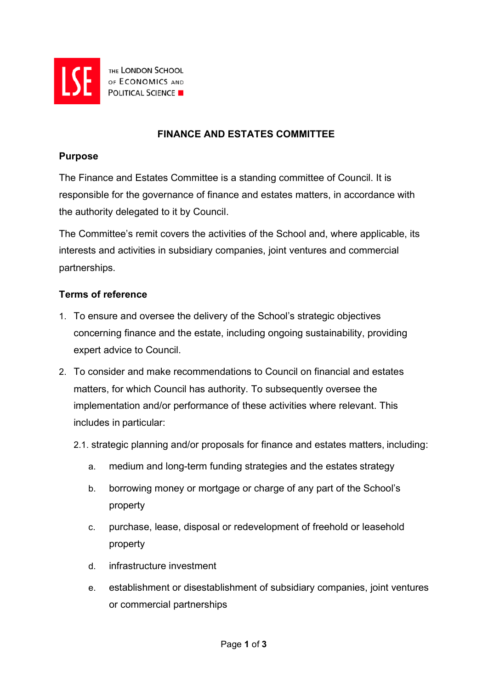

THE LONDON SCHOOL OF ECONOMICS AND **POLITICAL SCIENCE** 

# **FINANCE AND ESTATES COMMITTEE**

#### **Purpose**

The Finance and Estates Committee is a standing committee of Council. It is responsible for the governance of finance and estates matters, in accordance with the authority delegated to it by Council.

The Committee's remit covers the activities of the School and, where applicable, its interests and activities in subsidiary companies, joint ventures and commercial partnerships.

### **Terms of reference**

- 1. To ensure and oversee the delivery of the School's strategic objectives concerning finance and the estate, including ongoing sustainability, providing expert advice to Council.
- 2. To consider and make recommendations to Council on financial and estates matters, for which Council has authority. To subsequently oversee the implementation and/or performance of these activities where relevant. This includes in particular:
	- 2.1. strategic planning and/or proposals for finance and estates matters, including:
		- a. medium and long-term funding strategies and the estates strategy
		- b. borrowing money or mortgage or charge of any part of the School's property
		- c. purchase, lease, disposal or redevelopment of freehold or leasehold property
		- d. infrastructure investment
		- e. establishment or disestablishment of subsidiary companies, joint ventures or commercial partnerships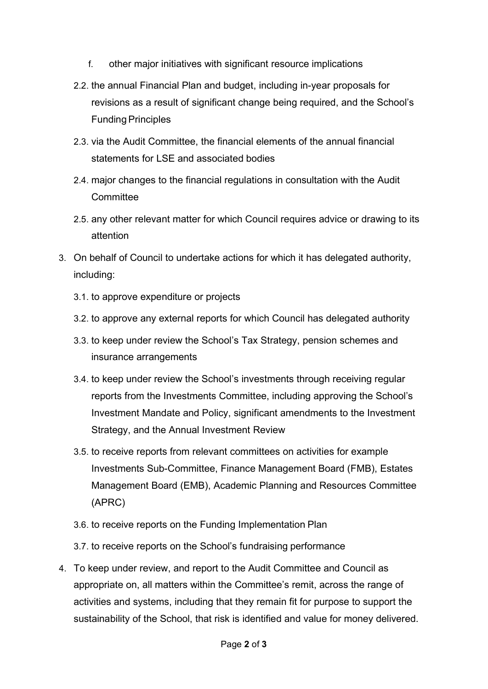- f. other major initiatives with significant resource implications
- 2.2. the annual Financial Plan and budget, including in-year proposals for revisions as a result of significant change being required, and the School's **Funding Principles**
- 2.3. via the Audit Committee, the financial elements of the annual financial statements for LSE and associated bodies
- 2.4. major changes to the financial regulations in consultation with the Audit **Committee**
- 2.5. any other relevant matter for which Council requires advice or drawing to its attention
- 3. On behalf of Council to undertake actions for which it has delegated authority, including:
	- 3.1. to approve expenditure or projects
	- 3.2. to approve any external reports for which Council has delegated authority
	- 3.3. to keep under review the School's Tax Strategy, pension schemes and insurance arrangements
	- 3.4. to keep under review the School's investments through receiving regular reports from the Investments Committee, including approving the School's Investment Mandate and Policy, significant amendments to the Investment Strategy, and the Annual Investment Review
	- 3.5. to receive reports from relevant committees on activities for example Investments Sub-Committee, Finance Management Board (FMB), Estates Management Board (EMB), Academic Planning and Resources Committee (APRC)
	- 3.6. to receive reports on the Funding Implementation Plan
	- 3.7. to receive reports on the School's fundraising performance
- 4. To keep under review, and report to the Audit Committee and Council as appropriate on, all matters within the Committee's remit, across the range of activities and systems, including that they remain fit for purpose to support the sustainability of the School, that risk is identified and value for money delivered.